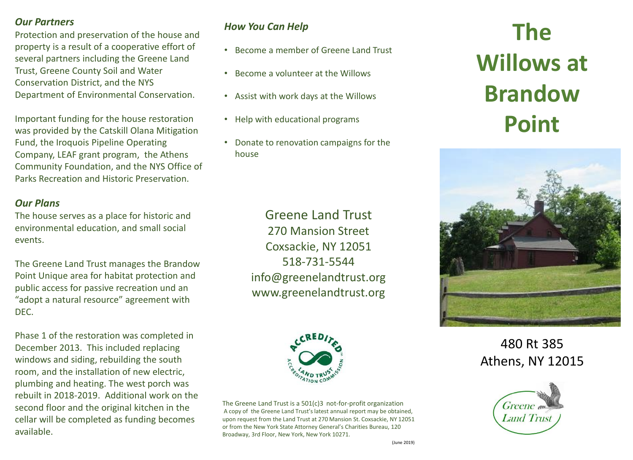### *Our Partners*

Protection and preservation of the house and property is a result of a cooperative effort of several partners including the Greene Land Trust, Greene County Soil and Water Conservation District, and the NYS Department of Environmental Conservation.

Important funding for the house restoration was provided by the Catskill Olana Mitigation Fund, the Iroquois Pipeline Operating Company, LEAF grant program, the Athens Community Foundation, and the NYS Office of Parks Recreation and Historic Preservation.

### *Our Plans*

The house serves as a place for historic and environmental education, and small social events.

The Greene Land Trust manages the Brandow Point Unique area for habitat protection and public access for passive recreation und an "adopt a natural resource" agreement with DEC.

Phase 1 of the restoration was completed in December 2013. This included replacing windows and siding, rebuilding the south room, and the installation of new electric, plumbing and heating. The west porch was rebuilt in 2018-2019. Additional work on the second floor and the original kitchen in the cellar will be completed as funding becomes available.

## *How You Can Help*

- Become a member of Greene Land Trust
- Become a volunteer at the Willows
- Assist with work days at the Willows
- Help with educational programs
- Donate to renovation campaigns for the house

Greene Land Trust 270 Mansion Street Coxsackie, NY 12051 518-731-5544 info@greenelandtrust.org www.greenelandtrust.org



The Greene Land Trust is a 501(c)3 not-for-profit organization A copy of the Greene Land Trust's latest annual report may be obtained, upon request from the Land Trust at 270 Mansion St. Coxsackie, NY 12051 or from the New York State Attorney General's Charities Bureau, 120 Broadway, 3rd Floor, New York, New York 10271.

# **The Land Truster**<br>**Reprodessed Willows at Brandow Point**



480 Rt 385 Athens, NY 12015